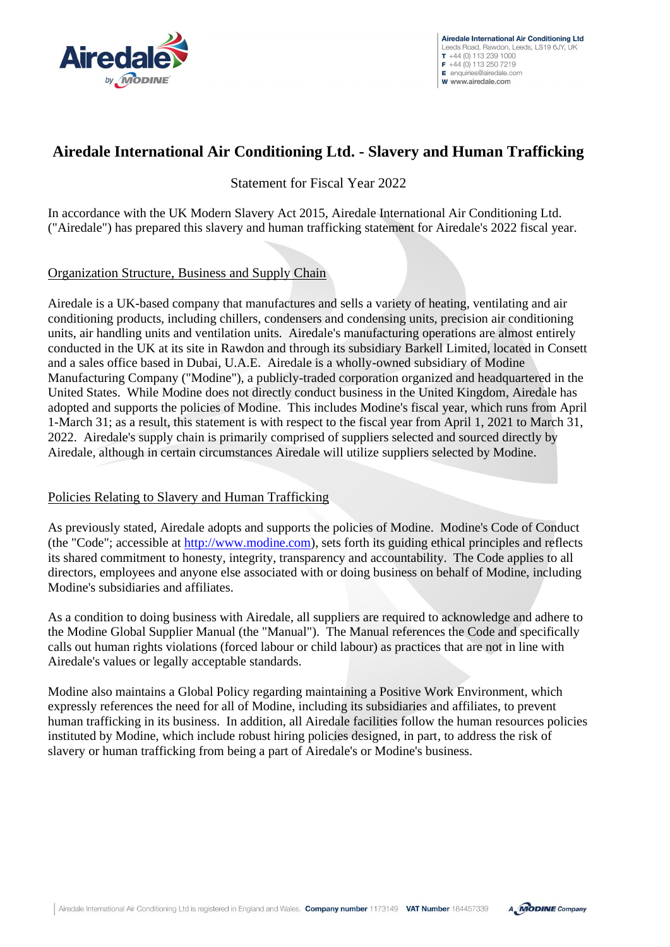

# **Airedale International Air Conditioning Ltd. - Slavery and Human Trafficking**

Statement for Fiscal Year 2022

In accordance with the UK Modern Slavery Act 2015, Airedale International Air Conditioning Ltd. ("Airedale") has prepared this slavery and human trafficking statement for Airedale's 2022 fiscal year.

### Organization Structure, Business and Supply Chain

Airedale is a UK-based company that manufactures and sells a variety of heating, ventilating and air conditioning products, including chillers, condensers and condensing units, precision air conditioning units, air handling units and ventilation units. Airedale's manufacturing operations are almost entirely conducted in the UK at its site in Rawdon and through its subsidiary Barkell Limited, located in Consett and a sales office based in Dubai, U.A.E. Airedale is a wholly-owned subsidiary of Modine Manufacturing Company ("Modine"), a publicly-traded corporation organized and headquartered in the United States. While Modine does not directly conduct business in the United Kingdom, Airedale has adopted and supports the policies of Modine. This includes Modine's fiscal year, which runs from April 1-March 31; as a result, this statement is with respect to the fiscal year from April 1, 2021 to March 31, 2022. Airedale's supply chain is primarily comprised of suppliers selected and sourced directly by Airedale, although in certain circumstances Airedale will utilize suppliers selected by Modine.

### Policies Relating to Slavery and Human Trafficking

As previously stated, Airedale adopts and supports the policies of Modine. Modine's Code of Conduct (the "Code"; accessible at [http://www.modine.com\)](http://www.modine.com/), sets forth its guiding ethical principles and reflects its shared commitment to honesty, integrity, transparency and accountability. The Code applies to all directors, employees and anyone else associated with or doing business on behalf of Modine, including Modine's subsidiaries and affiliates.

As a condition to doing business with Airedale, all suppliers are required to acknowledge and adhere to the Modine Global Supplier Manual (the "Manual"). The Manual references the Code and specifically calls out human rights violations (forced labour or child labour) as practices that are not in line with Airedale's values or legally acceptable standards.

Modine also maintains a Global Policy regarding maintaining a Positive Work Environment, which expressly references the need for all of Modine, including its subsidiaries and affiliates, to prevent human trafficking in its business. In addition, all Airedale facilities follow the human resources policies instituted by Modine, which include robust hiring policies designed, in part, to address the risk of slavery or human trafficking from being a part of Airedale's or Modine's business.

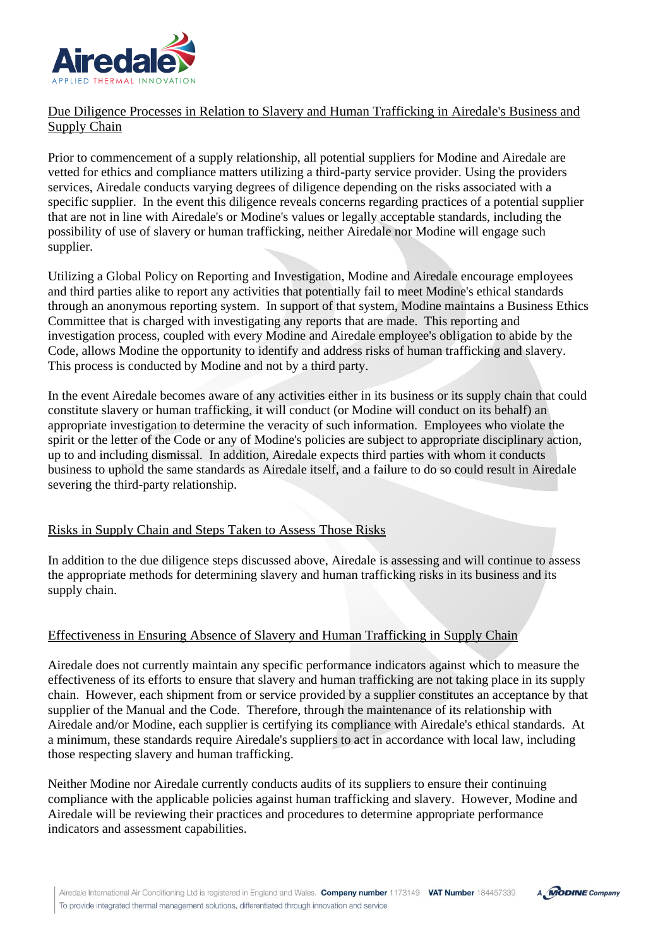

## Due Diligence Processes in Relation to Slavery and Human Trafficking in Airedale's Business and Supply Chain

Prior to commencement of a supply relationship, all potential suppliers for Modine and Airedale are vetted for ethics and compliance matters utilizing a third-party service provider. Using the providers services, Airedale conducts varying degrees of diligence depending on the risks associated with a specific supplier. In the event this diligence reveals concerns regarding practices of a potential supplier that are not in line with Airedale's or Modine's values or legally acceptable standards, including the possibility of use of slavery or human trafficking, neither Airedale nor Modine will engage such supplier.

Utilizing a Global Policy on Reporting and Investigation, Modine and Airedale encourage employees and third parties alike to report any activities that potentially fail to meet Modine's ethical standards through an anonymous reporting system. In support of that system, Modine maintains a Business Ethics Committee that is charged with investigating any reports that are made. This reporting and investigation process, coupled with every Modine and Airedale employee's obligation to abide by the Code, allows Modine the opportunity to identify and address risks of human trafficking and slavery. This process is conducted by Modine and not by a third party.

In the event Airedale becomes aware of any activities either in its business or its supply chain that could constitute slavery or human trafficking, it will conduct (or Modine will conduct on its behalf) an appropriate investigation to determine the veracity of such information. Employees who violate the spirit or the letter of the Code or any of Modine's policies are subject to appropriate disciplinary action, up to and including dismissal. In addition, Airedale expects third parties with whom it conducts business to uphold the same standards as Airedale itself, and a failure to do so could result in Airedale severing the third-party relationship.

### Risks in Supply Chain and Steps Taken to Assess Those Risks

In addition to the due diligence steps discussed above, Airedale is assessing and will continue to assess the appropriate methods for determining slavery and human trafficking risks in its business and its supply chain.

### Effectiveness in Ensuring Absence of Slavery and Human Trafficking in Supply Chain

Airedale does not currently maintain any specific performance indicators against which to measure the effectiveness of its efforts to ensure that slavery and human trafficking are not taking place in its supply chain. However, each shipment from or service provided by a supplier constitutes an acceptance by that supplier of the Manual and the Code. Therefore, through the maintenance of its relationship with Airedale and/or Modine, each supplier is certifying its compliance with Airedale's ethical standards. At a minimum, these standards require Airedale's suppliers to act in accordance with local law, including those respecting slavery and human trafficking.

Neither Modine nor Airedale currently conducts audits of its suppliers to ensure their continuing compliance with the applicable policies against human trafficking and slavery. However, Modine and Airedale will be reviewing their practices and procedures to determine appropriate performance indicators and assessment capabilities.